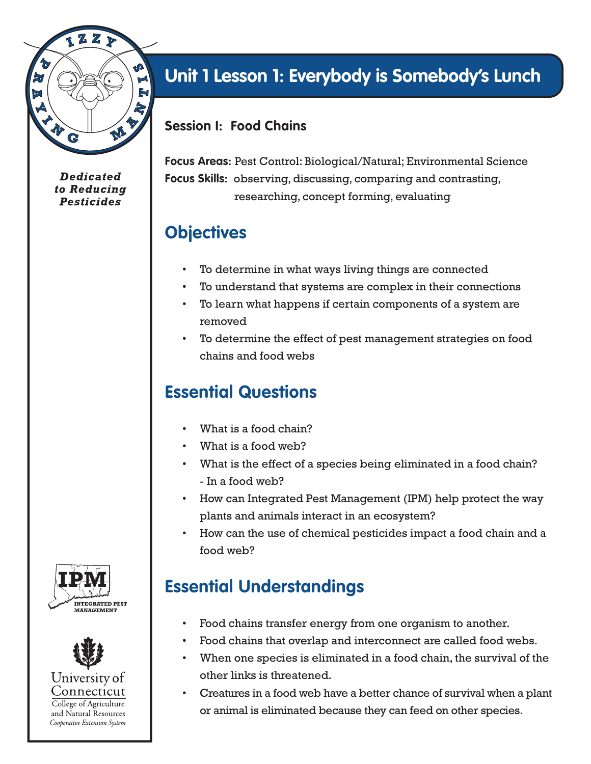

**Dedicated** to Reducing **Pesticides** 

# **Unit 1 Lesson 1: Everybody is Somebody's Lunch**

#### **Session I: Food Chains**

**Focus Areas:** Pest Control: Biological/Natural; Environmental Science **Focus Skills:** observing, discussing, comparing and contrasting, researching, concept forming, evaluating

#### **Objectives**

- To determine in what ways living things are connected
- To understand that systems are complex in their connections
- To learn what happens if certain components of a system are removed
- To determine the effect of pest management strategies on food chains and food webs

### **Essential Questions**

- What is a food chain?
- What is a food web?
- What is the effect of a species being eliminated in a food chain? - In a food web?
- How can Integrated Pest Management (IPM) help protect the way plants and animals interact in an ecosystem?
- How can the use of chemical pesticides impact a food chain and a food web?

### **Essential Understandings**

- Food chains transfer energy from one organism to another.
- Food chains that overlap and interconnect are called food webs.
- When one species is eliminated in a food chain, the survival of the other links is threatened.
- Creatures in a food web have a better chance of survival when a plant or animal is eliminated because they can feed on other species.



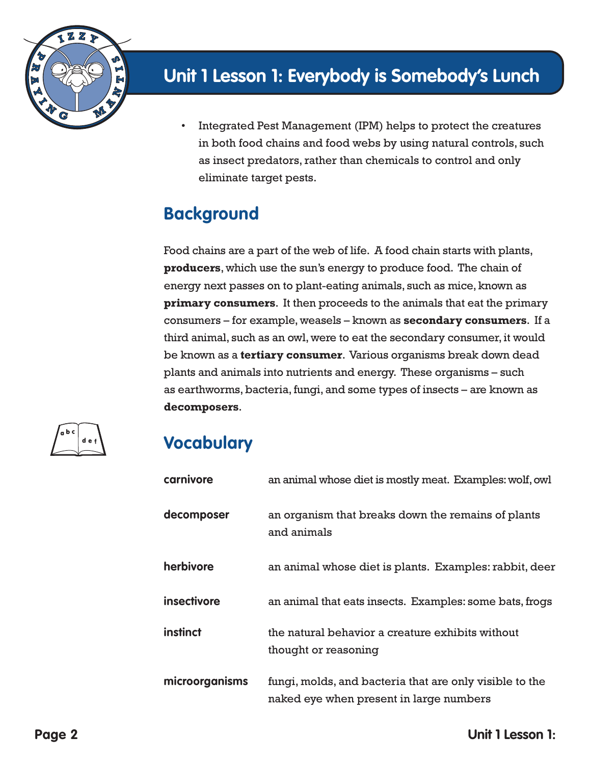

• Integrated Pest Management (IPM) helps to protect the creatures in both food chains and food webs by using natural controls, such as insect predators, rather than chemicals to control and only eliminate target pests.

### **Background**

Food chains are a part of the web of life. A food chain starts with plants, **producers**, which use the sun's energy to produce food. The chain of energy next passes on to plant-eating animals, such as mice, known as **primary consumers**. It then proceeds to the animals that eat the primary consumers – for example, weasels – known as **secondary consumers**. If a third animal, such as an owl, were to eat the secondary consumer, it would be known as a **tertiary consumer**. Various organisms break down dead plants and animals into nutrients and energy. These organisms – such as earthworms, bacteria, fungi, and some types of insects – are known as **decomposers**.



### **Vocabulary**

| carnivore          | an animal whose diet is mostly meat. Examples: wolf, owl                                           |
|--------------------|----------------------------------------------------------------------------------------------------|
| decomposer         | an organism that breaks down the remains of plants<br>and animals                                  |
| herbivore          | an animal whose diet is plants. Examples: rabbit, deer                                             |
| <b>insectivore</b> | an animal that eats insects. Examples: some bats, frogs                                            |
| instinct           | the natural behavior a creature exhibits without<br>thought or reasoning                           |
| microorganisms     | fungi, molds, and bacteria that are only visible to the<br>naked eye when present in large numbers |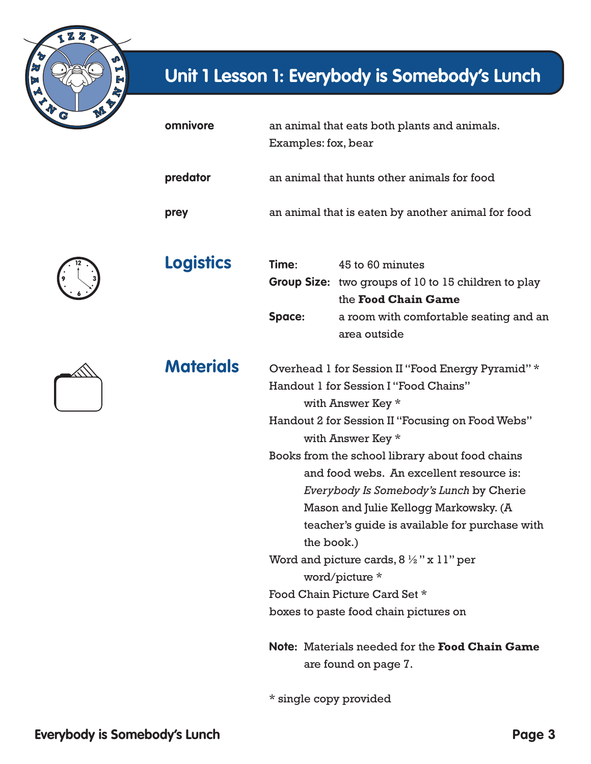

| omnivore         | Examples: fox, bear                                | an animal that eats both plants and animals.                                                          |  |
|------------------|----------------------------------------------------|-------------------------------------------------------------------------------------------------------|--|
| predator         | an animal that hunts other animals for food        |                                                                                                       |  |
| prey             | an animal that is eaten by another animal for food |                                                                                                       |  |
| <b>Logistics</b> | Time:                                              | 45 to 60 minutes<br>Group Size: two groups of 10 to 15 children to play<br>the <b>Food Chain Came</b> |  |



**Materials** 

|        | <b>Group Size:</b> two groups of 10 to 15 children to play |
|--------|------------------------------------------------------------|
|        | the <b>Food Chain Game</b>                                 |
| Space: | a room with comfortable seating and an                     |
|        | area outside                                               |

| Materials | Overhead 1 for Session II "Food Energy Pyramid" * |
|-----------|---------------------------------------------------|
|           | Handout 1 for Session I "Food Chains"             |
|           | with Answer Key *                                 |

 Handout 2 for Session II "Focusing on Food Webs" with Answer Key \*

 Books from the school library about food chains and food webs. An excellent resource is: *Everybody Is Somebody's Lunch* by Cherie Mason and Julie Kellogg Markowsky. (A teacher's guide is available for purchase with the book.) Word and picture cards,  $8\frac{1}{2}$ " x 11" per

word/picture \*

Food Chain Picture Card Set \*

boxes to paste food chain pictures on

 **Note:** Materials needed for the **Food Chain Game** are found on page 7.

\* single copy provided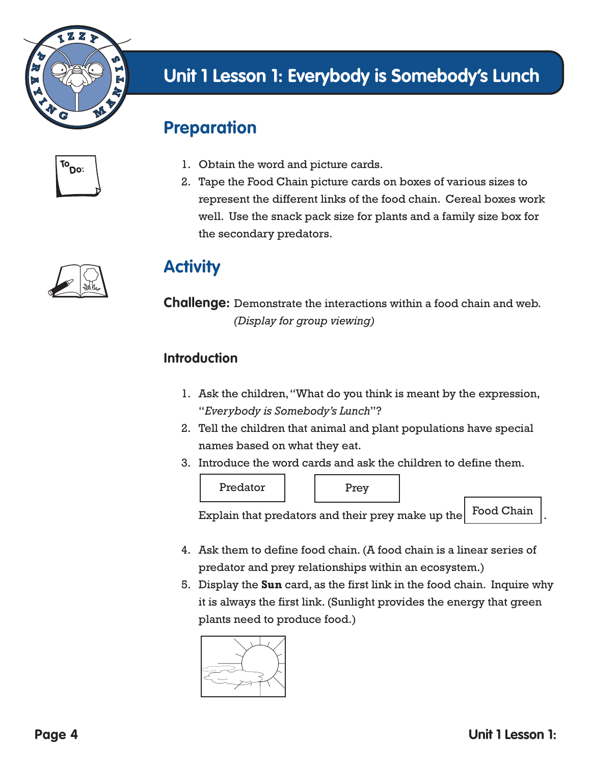

#### **Preparation**

| ίO<br>:00 |  |
|-----------|--|
|           |  |



- 1. Obtain the word and picture cards.
- 2. Tape the Food Chain picture cards on boxes of various sizes to represent the different links of the food chain. Cereal boxes work well. Use the snack pack size for plants and a family size box for the secondary predators.

#### **Activity**

**Challenge:** Demonstrate the interactions within a food chain and web. *(Display for group viewing)*

#### **Introduction**

- 1. Ask the children, "What do you think is meant by the expression, "*Everybody is Somebody's Lunch*"?
- 2. Tell the children that animal and plant populations have special names based on what they eat.
- 3. Introduce the word cards and ask the children to define them.



Explain that predators and their prey make up the Food Chain

- 4. Ask them to define food chain. (A food chain is a linear series of predator and prey relationships within an ecosystem.)
- 5. Display the **Sun** card, as the first link in the food chain. Inquire why it is always the first link. (Sunlight provides the energy that green plants need to produce food.)

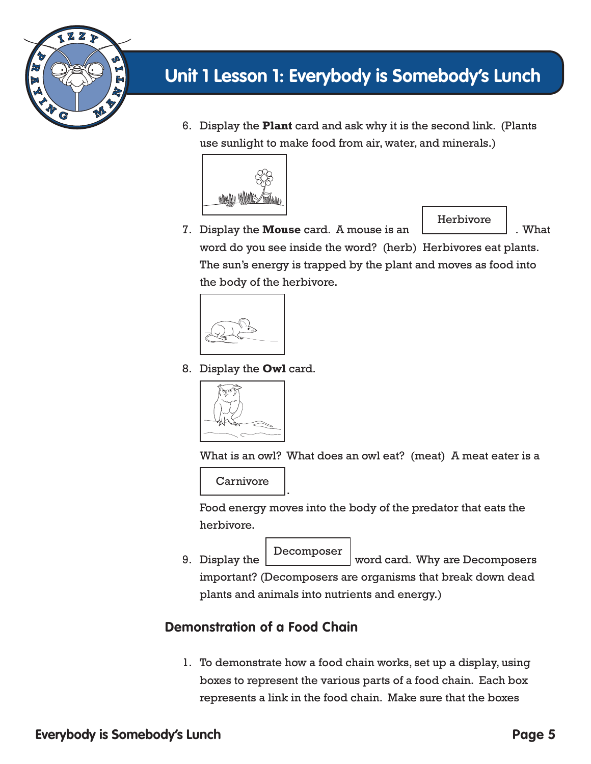

6. Display the **Plant** card and ask why it is the second link. (Plants use sunlight to make food from air, water, and minerals.)



Herbivore

7. Display the **Mouse** card. A mouse is an  $\qquad \qquad$  . What word do you see inside the word? (herb) Herbivores eat plants. The sun's energy is trapped by the plant and moves as food into the body of the herbivore.



8. Display the **Owl** card.



What is an owl? What does an owl eat? (meat) A meat eater is a

 . **Carnivore** 

Г

Food energy moves into the body of the predator that eats the herbivore.

Decomposer

9. Display the wavenumber word card. Why are Decomposers important? (Decomposers are organisms that break down dead plants and animals into nutrients and energy.)

#### **Demonstration of a Food Chain**

1. To demonstrate how a food chain works, set up a display, using boxes to represent the various parts of a food chain. Each box represents a link in the food chain. Make sure that the boxes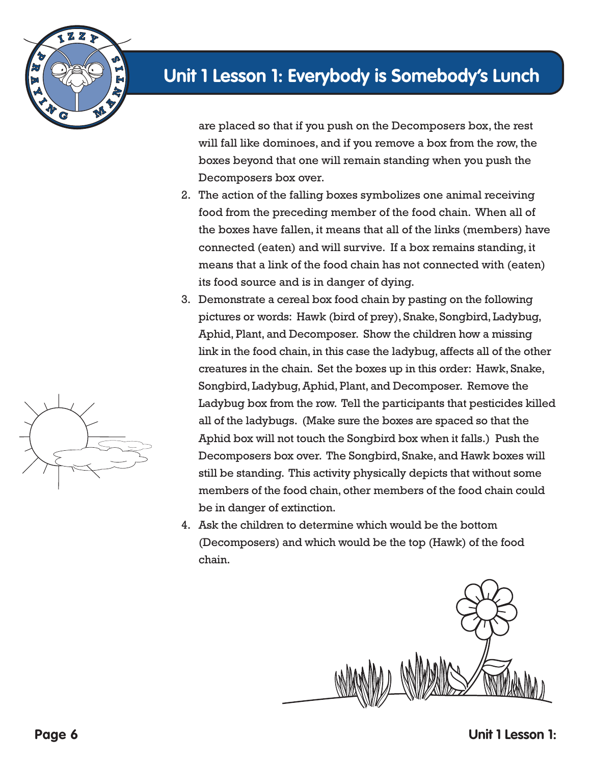

are placed so that if you push on the Decomposers box, the rest will fall like dominoes, and if you remove a box from the row, the boxes beyond that one will remain standing when you push the Decomposers box over.

- 2. The action of the falling boxes symbolizes one animal receiving food from the preceding member of the food chain. When all of the boxes have fallen, it means that all of the links (members) have connected (eaten) and will survive. If a box remains standing, it means that a link of the food chain has not connected with (eaten) its food source and is in danger of dying.
- 3. Demonstrate a cereal box food chain by pasting on the following pictures or words: Hawk (bird of prey), Snake, Songbird, Ladybug, Aphid, Plant, and Decomposer. Show the children how a missing link in the food chain, in this case the ladybug, affects all of the other creatures in the chain. Set the boxes up in this order: Hawk, Snake, Songbird, Ladybug, Aphid, Plant, and Decomposer. Remove the Ladybug box from the row. Tell the participants that pesticides killed all of the ladybugs. (Make sure the boxes are spaced so that the Aphid box will not touch the Songbird box when it falls.) Push the Decomposers box over. The Songbird, Snake, and Hawk boxes will still be standing. This activity physically depicts that without some members of the food chain, other members of the food chain could be in danger of extinction.
- 4. Ask the children to determine which would be the bottom (Decomposers) and which would be the top (Hawk) of the food chain.



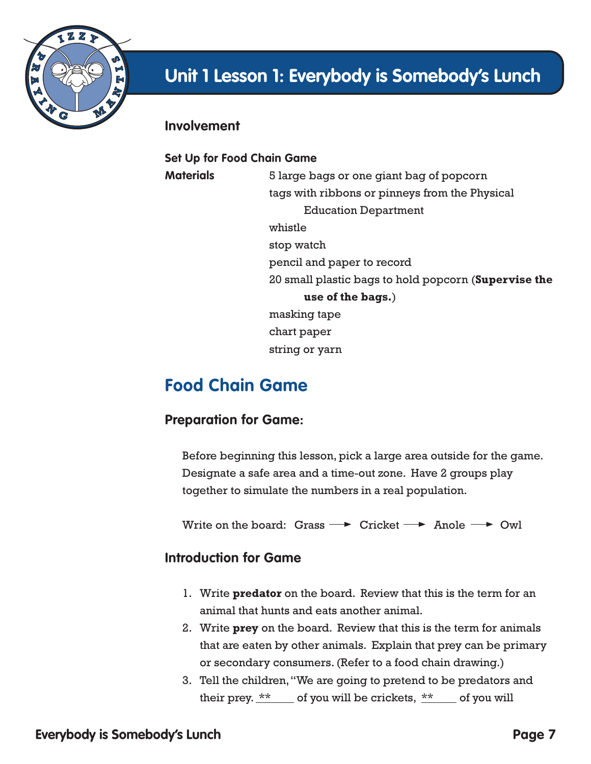

#### **Involvement**

**Set Up for Food Chain Game Materials** 5 large bags or one giant bag of popcorn tags with ribbons or pinneys from the Physical Education Department whistle stop watch pencil and paper to record 20 small plastic bags to hold popcorn (**Supervise the use of the bags.**) masking tape chart paper string or yarn

### **Food Chain Game**

#### **Preparation for Game:**

Before beginning this lesson, pick a large area outside for the game. Designate a safe area and a time-out zone. Have 2 groups play together to simulate the numbers in a real population.

Write on the board: Grass  $\rightarrow$  Cricket  $\rightarrow$  Anole  $\rightarrow$  Owl

#### **Introduction for Game**

- 1. Write **predator** on the board. Review that this is the term for an animal that hunts and eats another animal.
- 2. Write **prey** on the board. Review that this is the term for animals that are eaten by other animals. Explain that prey can be primary or secondary consumers. (Refer to a food chain drawing.)
- 3. Tell the children, "We are going to pretend to be predators and their prey.  $*$   $*$  of you will be crickets,  $*$  of you will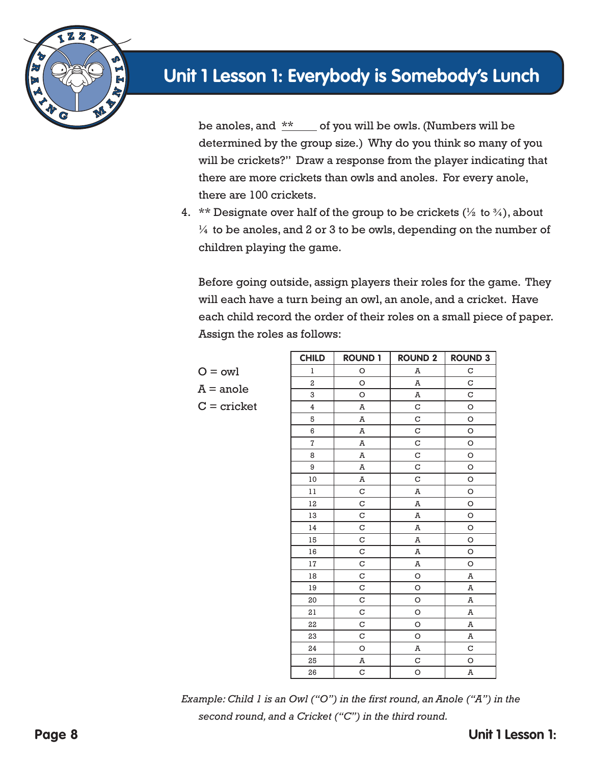

be anoles, and  $*$  of you will be owls. (Numbers will be determined by the group size.) Why do you think so many of you will be crickets?" Draw a response from the player indicating that there are more crickets than owls and anoles. For every anole, there are 100 crickets.

4. \*\* Designate over half of the group to be crickets  $(\frac{1}{2} \text{ to } \frac{3}{4})$ , about  $\frac{1}{4}$  to be anoles, and 2 or 3 to be owls, depending on the number of children playing the game.

Before going outside, assign players their roles for the game. They will each have a turn being an owl, an anole, and a cricket. Have each child record the order of their roles on a small piece of paper. Assign the roles as follows:

 $O = \text{owl}$  $A =$ anole  $C =$  cricket

| <b>CHILD</b>   | <b>ROUND 1</b> | <b>ROUND 2</b> | <b>ROUND 3</b> |
|----------------|----------------|----------------|----------------|
| ı              | O              | A              | $\mathbf C$    |
| 2              | O              | A              | C              |
| 3              | O              | A              | $\mathbf C$    |
| $\overline{4}$ | A              | C              | $\circ$        |
| 5              | A              | C              | O              |
| 6              | A              | C              | O              |
| $\overline{7}$ | A              | C              | $\circ$        |
| 8              | A              | C              | $\circ$        |
| 9              | A              | C              | $\circ$        |
| 10             | A              | C              | $\circ$        |
| $1\,1$         | C              | A              | $\circ$        |
| 12             | C              | A              | $\circ$        |
| 13             | C              | A              | O              |
| 14             | C              | A              | O              |
| 15             | $\mathbf C$    | A              | $\circ$        |
| 16             | $\mathbf C$    | A              | O              |
| $17\,$         | C              | A              | O              |
| 18             | $\mathbf C$    | O              | A              |
| 19             | $\mathbf C$    | O              | Ā              |
| 20             | $\mathbf C$    | O              | A              |
| 21             | C              | O              | A              |
| 22             | C              | O              | A              |
| 23             | $\mathbf C$    | O              | A              |
| 24             | O              | A              | $\mathbf C$    |
| 25             | A              | C              | O              |
| 26             | C              | $\circ$        | A              |

*Example: Child 1 is an Owl ("O") in the first round, an Anole ("A") in the second round, and a Cricket ("C") in the third round.*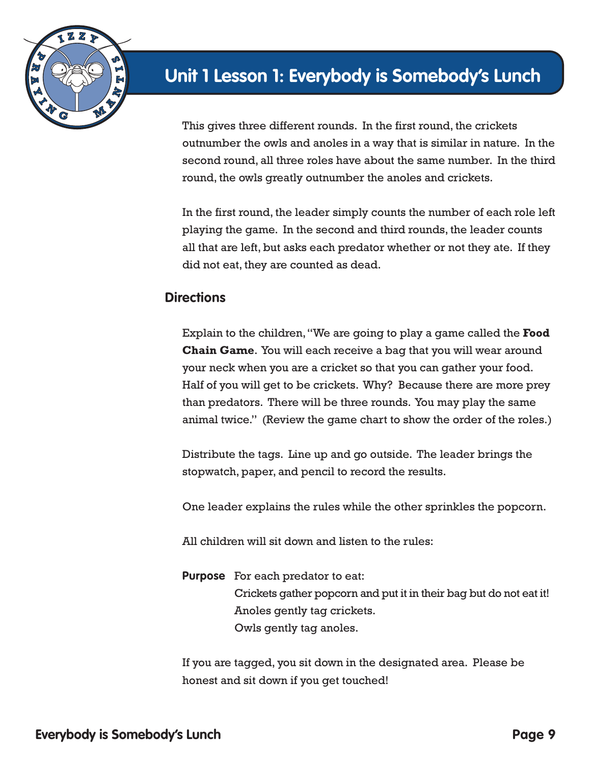

This gives three different rounds. In the first round, the crickets outnumber the owls and anoles in a way that is similar in nature. In the second round, all three roles have about the same number. In the third round, the owls greatly outnumber the anoles and crickets.

In the first round, the leader simply counts the number of each role left playing the game. In the second and third rounds, the leader counts all that are left, but asks each predator whether or not they ate. If they did not eat, they are counted as dead.

#### **Directions**

Explain to the children, "We are going to play a game called the **Food Chain Game**. You will each receive a bag that you will wear around your neck when you are a cricket so that you can gather your food. Half of you will get to be crickets. Why? Because there are more prey than predators. There will be three rounds. You may play the same animal twice." (Review the game chart to show the order of the roles.)

Distribute the tags. Line up and go outside. The leader brings the stopwatch, paper, and pencil to record the results.

One leader explains the rules while the other sprinkles the popcorn.

All children will sit down and listen to the rules:

**Purpose** For each predator to eat: Crickets gather popcorn and put it in their bag but do not eat it! Anoles gently tag crickets. Owls gently tag anoles.

If you are tagged, you sit down in the designated area. Please be honest and sit down if you get touched!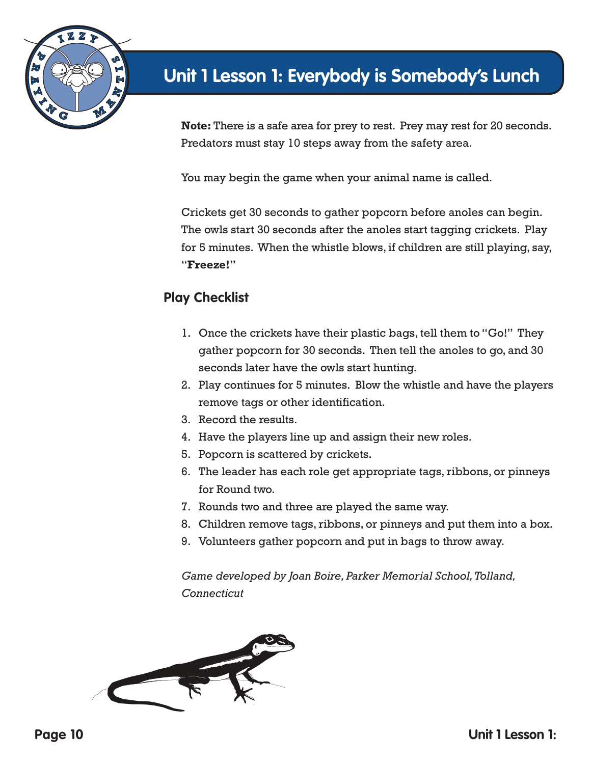

**Note:** There is a safe area for prey to rest. Prey may rest for 20 seconds. Predators must stay 10 steps away from the safety area.

You may begin the game when your animal name is called.

Crickets get 30 seconds to gather popcorn before anoles can begin. The owls start 30 seconds after the anoles start tagging crickets. Play for 5 minutes. When the whistle blows, if children are still playing, say, "**Freeze!**"

#### **Play Checklist**

- 1. Once the crickets have their plastic bags, tell them to "Go!" They gather popcorn for 30 seconds. Then tell the anoles to go, and 30 seconds later have the owls start hunting.
- 2. Play continues for 5 minutes. Blow the whistle and have the players remove tags or other identification.
- 3. Record the results.
- 4. Have the players line up and assign their new roles.
- 5. Popcorn is scattered by crickets.
- 6. The leader has each role get appropriate tags, ribbons, or pinneys for Round two.
- 7. Rounds two and three are played the same way.
- 8. Children remove tags, ribbons, or pinneys and put them into a box.
- 9. Volunteers gather popcorn and put in bags to throw away.

*Game developed by Joan Boire, Parker Memorial School, Tolland, Connecticut*

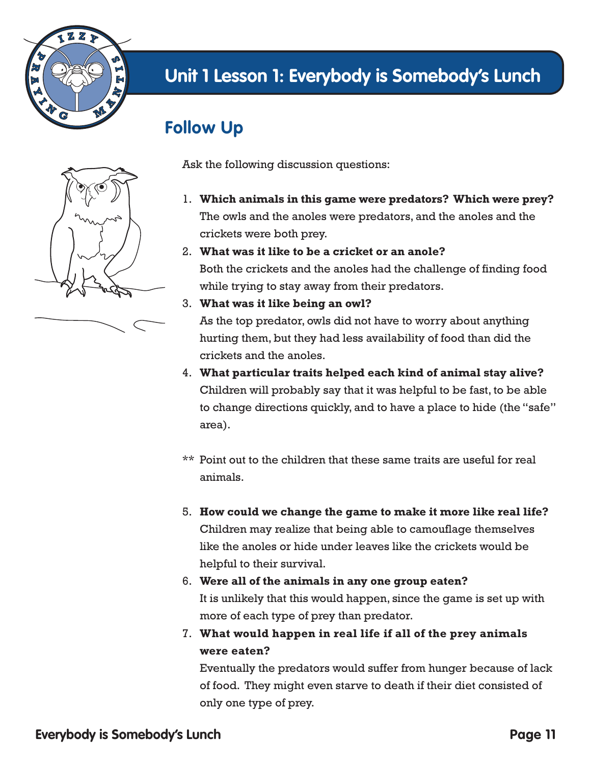

# **Follow Up**



Ask the following discussion questions:

- 1. **Which animals in this game were predators? Which were prey?** The owls and the anoles were predators, and the anoles and the crickets were both prey.
- 2. **What was it like to be a cricket or an anole?**

Both the crickets and the anoles had the challenge of finding food while trying to stay away from their predators.

3. **What was it like being an owl?**

As the top predator, owls did not have to worry about anything hurting them, but they had less availability of food than did the crickets and the anoles.

- 4. **What particular traits helped each kind of animal stay alive?** Children will probably say that it was helpful to be fast, to be able to change directions quickly, and to have a place to hide (the "safe" area).
- \*\* Point out to the children that these same traits are useful for real animals.
- 5. **How could we change the game to make it more like real life?** Children may realize that being able to camouflage themselves like the anoles or hide under leaves like the crickets would be helpful to their survival.
- 6. **Were all of the animals in any one group eaten?** It is unlikely that this would happen, since the game is set up with more of each type of prey than predator.
- 7. **What would happen in real life if all of the prey animals were eaten?**

Eventually the predators would suffer from hunger because of lack of food. They might even starve to death if their diet consisted of only one type of prey.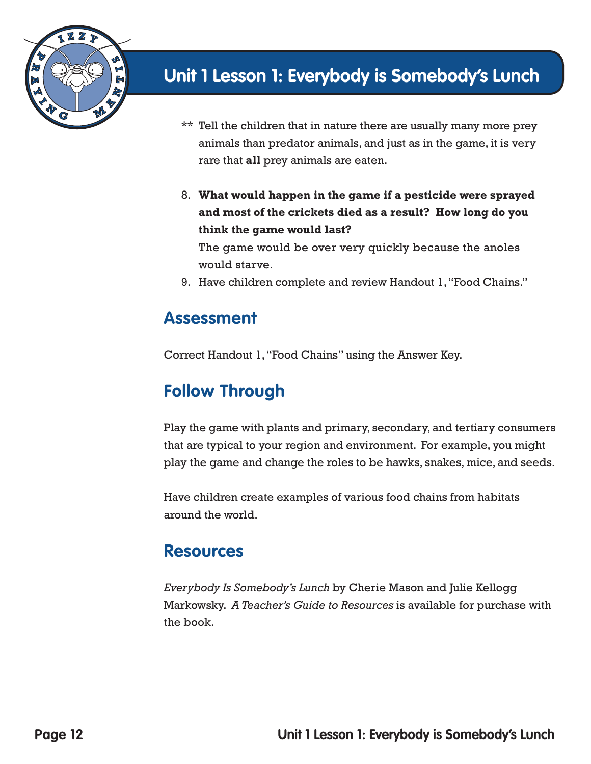

- \*\* Tell the children that in nature there are usually many more prey animals than predator animals, and just as in the game, it is very rare that **all** prey animals are eaten.
- 8. **What would happen in the game if a pesticide were sprayed and most of the crickets died as a result? How long do you think the game would last?**

The game would be over very quickly because the anoles would starve.

9. Have children complete and review Handout 1, "Food Chains."

#### **Assessment**

Correct Handout 1, "Food Chains" using the Answer Key.

#### **Follow Through**

Play the game with plants and primary, secondary, and tertiary consumers that are typical to your region and environment. For example, you might play the game and change the roles to be hawks, snakes, mice, and seeds.

Have children create examples of various food chains from habitats around the world.

#### **Resources**

*Everybody Is Somebody's Lunch* by Cherie Mason and Julie Kellogg Markowsky. *A Teacher's Guide to Resources* is available for purchase with the book.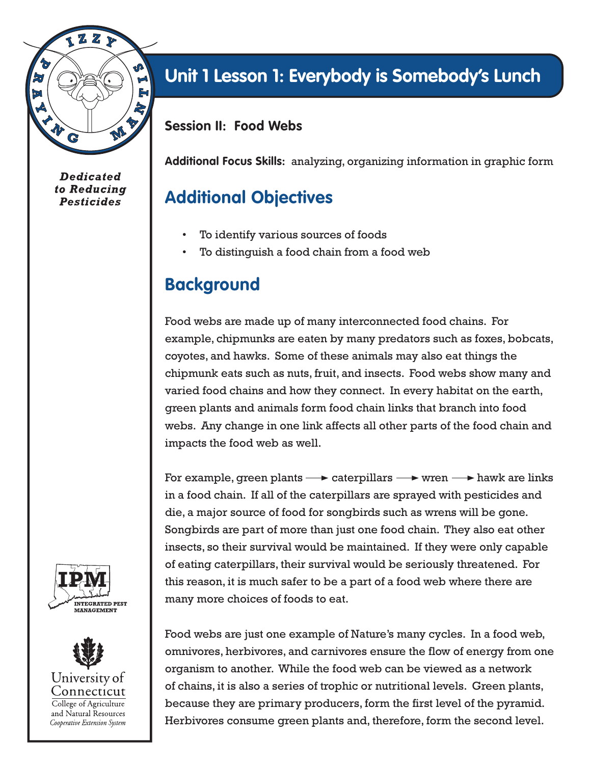

**Dedicated** to Reducing **Pesticides** 

# **Unit 1 Lesson 1: Everybody is Somebody's Lunch**

**Session II: Food Webs**

**Additional Focus Skills:** analyzing, organizing information in graphic form

## **Additional Objectives**

- To identify various sources of foods
- To distinguish a food chain from a food web

## **Background**

Food webs are made up of many interconnected food chains. For example, chipmunks are eaten by many predators such as foxes, bobcats, coyotes, and hawks. Some of these animals may also eat things the chipmunk eats such as nuts, fruit, and insects. Food webs show many and varied food chains and how they connect. In every habitat on the earth, green plants and animals form food chain links that branch into food webs. Any change in one link affects all other parts of the food chain and impacts the food web as well.

For example, green plants  $\longrightarrow$  caterpillars  $\longrightarrow$  wren  $\longrightarrow$  hawk are links in a food chain. If all of the caterpillars are sprayed with pesticides and die, a major source of food for songbirds such as wrens will be gone. Songbirds are part of more than just one food chain. They also eat other insects, so their survival would be maintained. If they were only capable of eating caterpillars, their survival would be seriously threatened. For this reason, it is much safer to be a part of a food web where there are many more choices of foods to eat.

Food webs are just one example of Nature's many cycles. In a food web, omnivores, herbivores, and carnivores ensure the flow of energy from one organism to another. While the food web can be viewed as a network of chains, it is also a series of trophic or nutritional levels. Green plants, because they are primary producers, form the first level of the pyramid. Herbivores consume green plants and, therefore, form the second level.



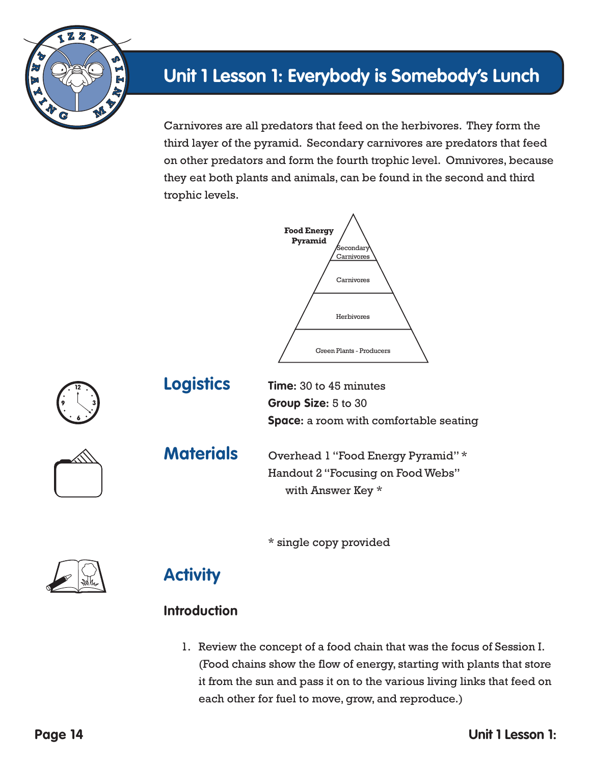

Carnivores are all predators that feed on the herbivores. They form the third layer of the pyramid. Secondary carnivores are predators that feed on other predators and form the fourth trophic level. Omnivores, because they eat both plants and animals, can be found in the second and third trophic levels.





**Logistics Time:** 30 to 45 minutes **Group Size:** 5 to 30 **Space:** a room with comfortable seating



**Materials** Overhead 1 "Food Energy Pyramid" \* Handout 2 "Focusing on Food Webs" with Answer Key \*

\* single copy provided





#### **Introduction**

1. Review the concept of a food chain that was the focus of Session I. (Food chains show the flow of energy, starting with plants that store it from the sun and pass it on to the various living links that feed on each other for fuel to move, grow, and reproduce.)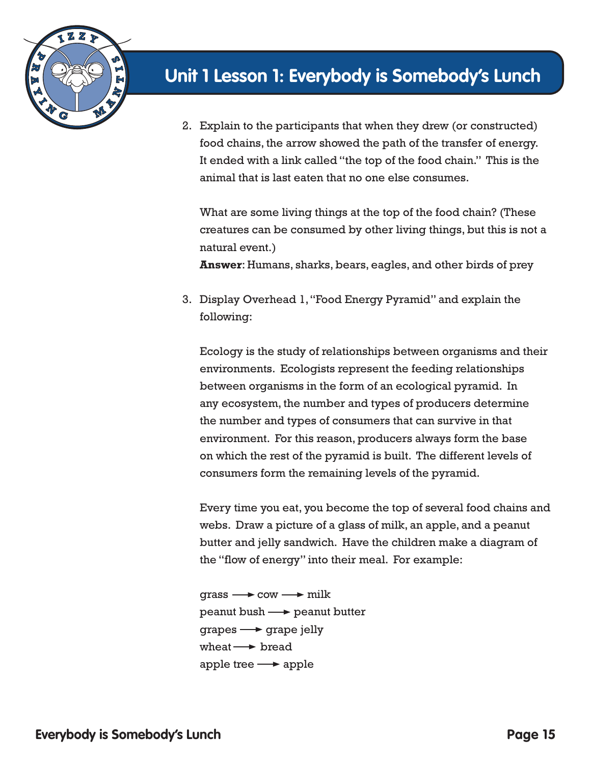

2. Explain to the participants that when they drew (or constructed) food chains, the arrow showed the path of the transfer of energy. It ended with a link called "the top of the food chain." This is the animal that is last eaten that no one else consumes.

What are some living things at the top of the food chain? (These creatures can be consumed by other living things, but this is not a natural event.)

**Answer**: Humans, sharks, bears, eagles, and other birds of prey

3. Display Overhead 1, "Food Energy Pyramid" and explain the following:

Ecology is the study of relationships between organisms and their environments. Ecologists represent the feeding relationships between organisms in the form of an ecological pyramid. In any ecosystem, the number and types of producers determine the number and types of consumers that can survive in that environment. For this reason, producers always form the base on which the rest of the pyramid is built. The different levels of consumers form the remaining levels of the pyramid.

Every time you eat, you become the top of several food chains and webs. Draw a picture of a glass of milk, an apple, and a peanut butter and jelly sandwich. Have the children make a diagram of the "flow of energy" into their meal. For example:

 $grass \longrightarrow \text{row} \longrightarrow \text{milk}$  $p$ eanut bush  $\longrightarrow$  peanut butter  $grapes \longrightarrow grape$  jelly wheat  $\rightarrow$  bread apple tree  $\longrightarrow$  apple